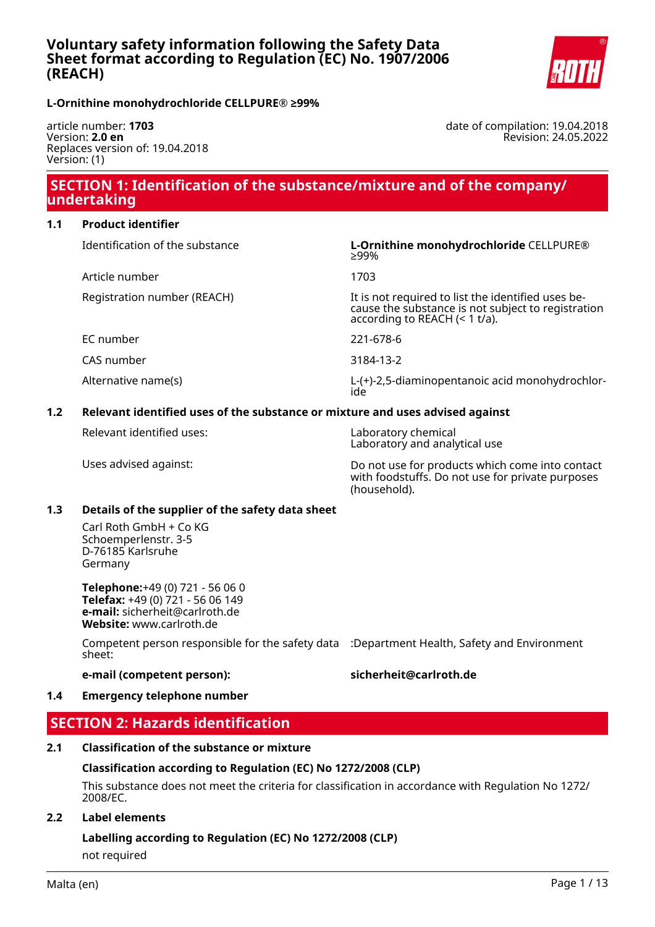

**L-Ornithine monohydrochloride CELLPURE® ≥99%**

article number: **1703** Version: **2.0 en** Replaces version of: 19.04.2018 Version: (1)

date of compilation: 19.04.2018 Revision: 24.05.2022

## **SECTION 1: Identification of the substance/mixture and of the company/ undertaking**

### **1.1 Product identifier**

| Identification of the substance | L-Ornithine monohydrochloride CELLPURE®<br>>99%                                                                                              |
|---------------------------------|----------------------------------------------------------------------------------------------------------------------------------------------|
| Article number                  | 1703                                                                                                                                         |
| Registration number (REACH)     | It is not required to list the identified uses be-<br>cause the substance is not subject to registration<br>according to REACH $($ < 1 t/a). |
| EC number                       | 221-678-6                                                                                                                                    |
| CAS number                      | 3184-13-2                                                                                                                                    |
| Alternative name(s)             | L-(+)-2,5-diaminopentanoic acid monohydrochlor-<br>ide                                                                                       |

### **1.2 Relevant identified uses of the substance or mixture and uses advised against**

Relevant identified uses: Laboratory chemical

Laboratory and analytical use

Uses advised against: Do not use for products which come into contact with foodstuffs. Do not use for private purposes (household).

#### **1.3 Details of the supplier of the safety data sheet**

Carl Roth GmbH + Co KG Schoemperlenstr. 3-5 D-76185 Karlsruhe Germany

**Telephone:**+49 (0) 721 - 56 06 0 **Telefax:** +49 (0) 721 - 56 06 149 **e-mail:** sicherheit@carlroth.de **Website:** www.carlroth.de

Competent person responsible for the safety data :Department Health, Safety and Environment sheet:

## **e-mail (competent person): sicherheit@carlroth.de**

### **1.4 Emergency telephone number**

## **SECTION 2: Hazards identification**

#### **2.1 Classification of the substance or mixture**

#### **Classification according to Regulation (EC) No 1272/2008 (CLP)**

This substance does not meet the criteria for classification in accordance with Regulation No 1272/ 2008/EC.

### **2.2 Label elements**

# **Labelling according to Regulation (EC) No 1272/2008 (CLP)**

not required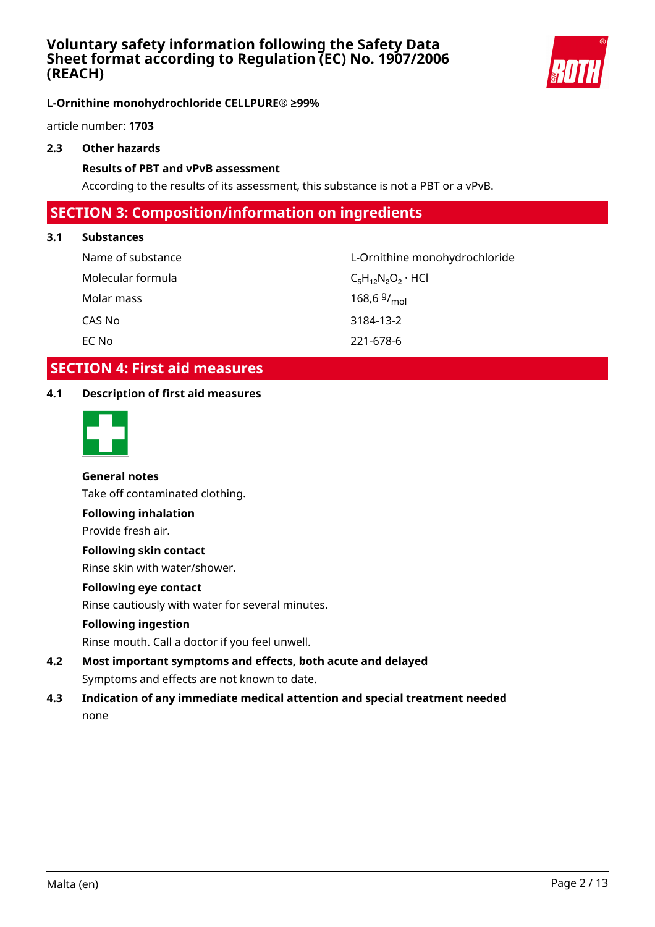

## **L-Ornithine monohydrochloride CELLPURE® ≥99%**

article number: **1703**

## **2.3 Other hazards**

### **Results of PBT and vPvB assessment**

According to the results of its assessment, this substance is not a PBT or a vPvB.

## **SECTION 3: Composition/information on ingredients**

### **3.1 Substances**

Molecular formula  $C_5H_{12}N_2O_2 \cdot HCl$ Molar mass CAS No 3184-13-2 EC No 221-678-6

Name of substance L-Ornithine monohydrochloride 168,6 $9/_{mol}$ 

## **SECTION 4: First aid measures**

## **4.1 Description of first aid measures**



## **General notes**

Take off contaminated clothing.

### **Following inhalation**

Provide fresh air.

### **Following skin contact**

Rinse skin with water/shower.

### **Following eye contact**

Rinse cautiously with water for several minutes.

## **Following ingestion**

Rinse mouth. Call a doctor if you feel unwell.

- **4.2 Most important symptoms and effects, both acute and delayed** Symptoms and effects are not known to date.
- **4.3 Indication of any immediate medical attention and special treatment needed** none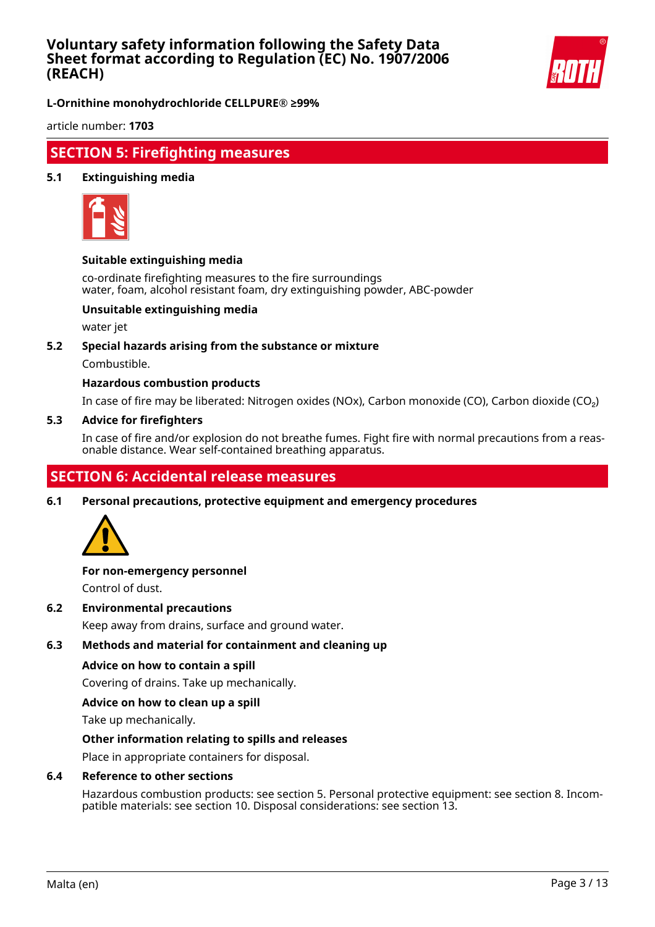

**L-Ornithine monohydrochloride CELLPURE® ≥99%**

article number: **1703**

## **SECTION 5: Firefighting measures**

### **5.1 Extinguishing media**



### **Suitable extinguishing media**

co-ordinate firefighting measures to the fire surroundings water, foam, alcohol resistant foam, dry extinguishing powder, ABC-powder

## **Unsuitable extinguishing media**

water jet

#### **5.2 Special hazards arising from the substance or mixture**

Combustible.

### **Hazardous combustion products**

In case of fire may be liberated: Nitrogen oxides (NOx), Carbon monoxide (CO), Carbon dioxide (CO₂)

#### **5.3 Advice for firefighters**

In case of fire and/or explosion do not breathe fumes. Fight fire with normal precautions from a reasonable distance. Wear self-contained breathing apparatus.

## **SECTION 6: Accidental release measures**

**6.1 Personal precautions, protective equipment and emergency procedures**



## **For non-emergency personnel**

Control of dust.

**6.2 Environmental precautions**

Keep away from drains, surface and ground water.

### **6.3 Methods and material for containment and cleaning up**

#### **Advice on how to contain a spill**

Covering of drains. Take up mechanically.

#### **Advice on how to clean up a spill**

Take up mechanically.

#### **Other information relating to spills and releases**

Place in appropriate containers for disposal.

### **6.4 Reference to other sections**

Hazardous combustion products: see section 5. Personal protective equipment: see section 8. Incompatible materials: see section 10. Disposal considerations: see section 13.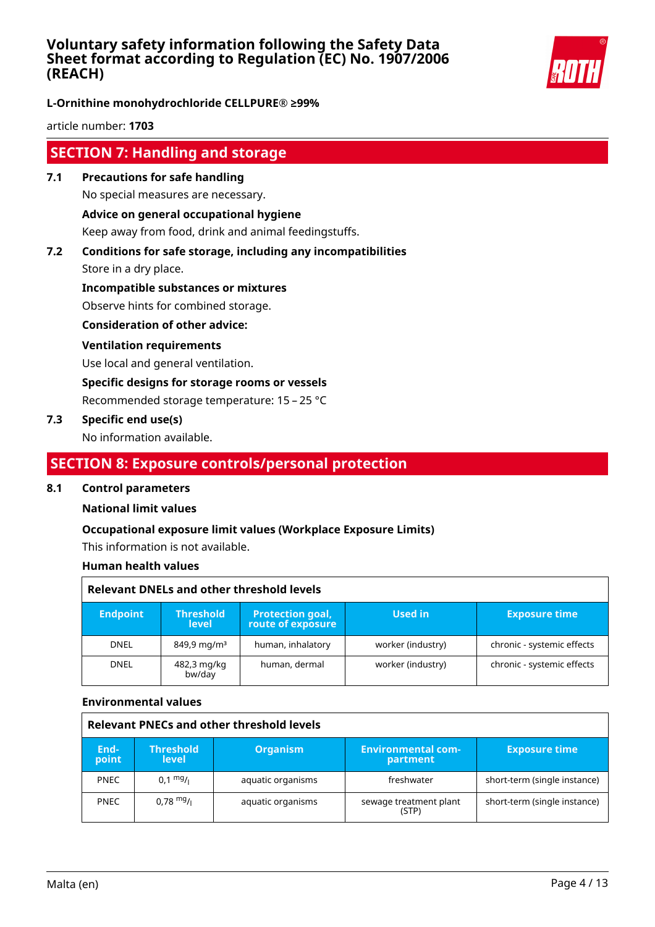

**L-Ornithine monohydrochloride CELLPURE® ≥99%**

article number: **1703**

## **SECTION 7: Handling and storage**

- **7.1 Precautions for safe handling** No special measures are necessary. **Advice on general occupational hygiene** Keep away from food, drink and animal feedingstuffs.
- **7.2 Conditions for safe storage, including any incompatibilities**

Store in a dry place.

**Incompatible substances or mixtures**

Observe hints for combined storage.

**Consideration of other advice:**

### **Ventilation requirements**

Use local and general ventilation.

**Specific designs for storage rooms or vessels**

Recommended storage temperature: 15 – 25 °C

### **7.3 Specific end use(s)**

No information available.

## **SECTION 8: Exposure controls/personal protection**

#### **8.1 Control parameters**

#### **National limit values**

## **Occupational exposure limit values (Workplace Exposure Limits)**

This information is not available.

#### **Human health values**

| Relevant DNELs and other threshold levels |                                  |                                              |                   |                            |
|-------------------------------------------|----------------------------------|----------------------------------------------|-------------------|----------------------------|
| <b>Endpoint</b>                           | <b>Threshold</b><br><b>level</b> | <b>Protection goal,</b><br>route of exposure | Used in           | <b>Exposure time</b>       |
| <b>DNEL</b>                               | $849.9 \,\mathrm{mq/m^3}$        | human, inhalatory                            | worker (industry) | chronic - systemic effects |
| <b>DNEL</b>                               | 482,3 mg/kg<br>bw/day            | human, dermal                                | worker (industry) | chronic - systemic effects |

#### **Environmental values**

| Relevant PNECs and other threshold levels |                                  |                   |                                       |                              |
|-------------------------------------------|----------------------------------|-------------------|---------------------------------------|------------------------------|
| End-<br>point                             | <b>Threshold</b><br><b>level</b> | <b>Organism</b>   | <b>Environmental com-</b><br>partment | <b>Exposure time</b>         |
| <b>PNEC</b>                               | $0.1 \frac{mg}{l}$               | aquatic organisms | freshwater                            | short-term (single instance) |
| <b>PNEC</b>                               | $0.78 \text{ mg}$ /              | aquatic organisms | sewage treatment plant<br>(STP)       | short-term (single instance) |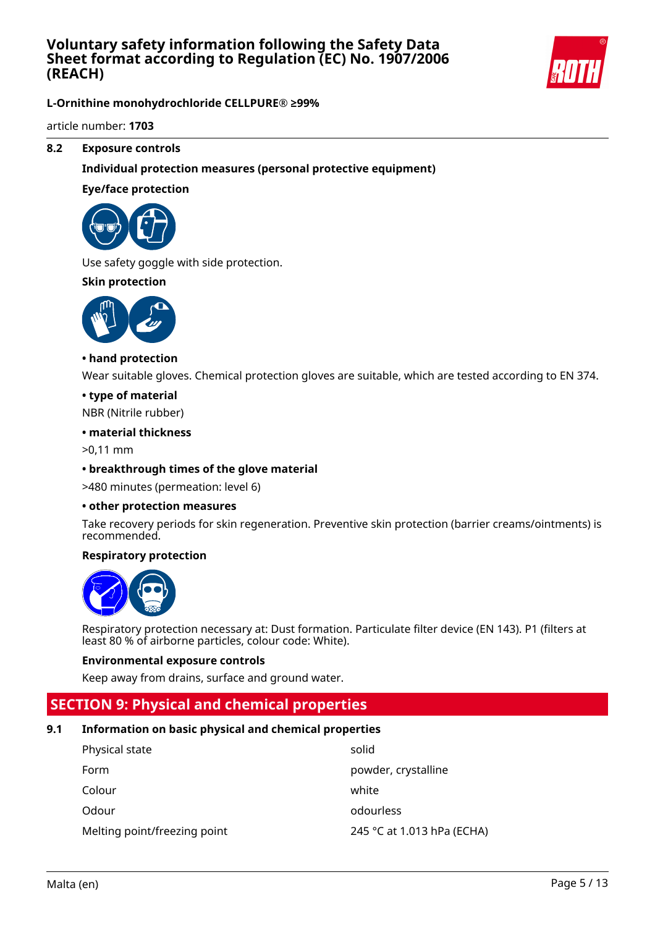

**L-Ornithine monohydrochloride CELLPURE® ≥99%**

article number: **1703**

### **8.2 Exposure controls**

### **Individual protection measures (personal protective equipment)**

#### **Eye/face protection**



Use safety goggle with side protection.

### **Skin protection**



#### **• hand protection**

Wear suitable gloves. Chemical protection gloves are suitable, which are tested according to EN 374.

#### **• type of material**

NBR (Nitrile rubber)

#### **• material thickness**

>0,11 mm

#### **• breakthrough times of the glove material**

>480 minutes (permeation: level 6)

#### **• other protection measures**

Take recovery periods for skin regeneration. Preventive skin protection (barrier creams/ointments) is recommended.

#### **Respiratory protection**



Respiratory protection necessary at: Dust formation. Particulate filter device (EN 143). P1 (filters at least 80 % of airborne particles, colour code: White).

#### **Environmental exposure controls**

Keep away from drains, surface and ground water.

## **SECTION 9: Physical and chemical properties**

#### **9.1 Information on basic physical and chemical properties**

| Physical state               | solid                      |
|------------------------------|----------------------------|
| Form                         | powder, crystalline        |
| Colour                       | white                      |
| Odour                        | odourless                  |
| Melting point/freezing point | 245 °C at 1.013 hPa (ECHA) |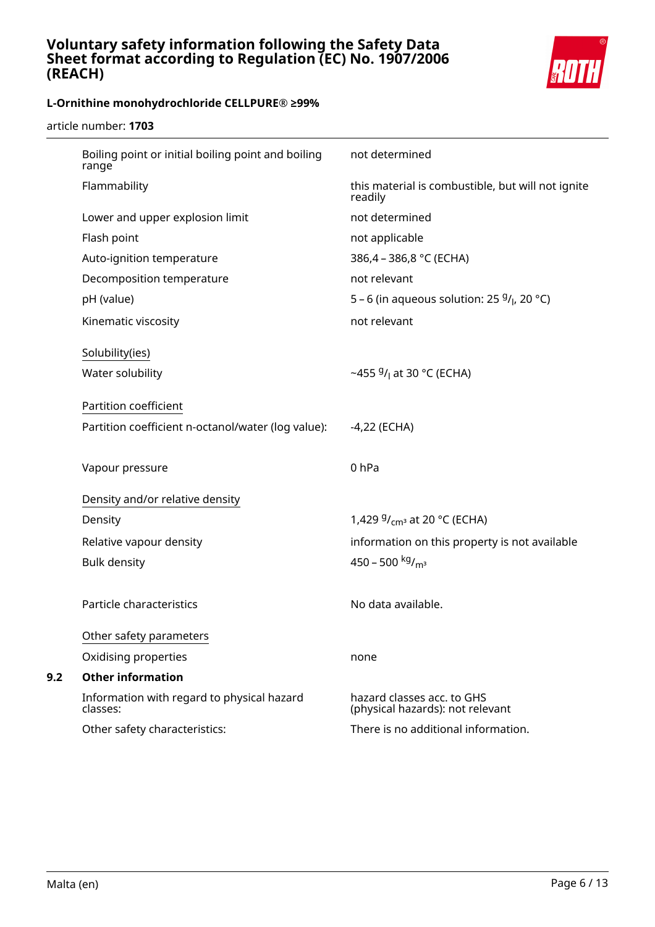

article number: **1703**

| Boiling point or initial boiling point and boiling<br>range | not determined                                                 |
|-------------------------------------------------------------|----------------------------------------------------------------|
| Flammability                                                | this material is combustible, but will not ignite<br>readily   |
| Lower and upper explosion limit                             | not determined                                                 |
| Flash point                                                 | not applicable                                                 |
| Auto-ignition temperature                                   | 386,4 - 386,8 °C (ECHA)                                        |
| Decomposition temperature                                   | not relevant                                                   |
| pH (value)                                                  | 5 – 6 (in aqueous solution: 25 $9/1$ , 20 °C)                  |
| Kinematic viscosity                                         | not relevant                                                   |
| Solubility(ies)                                             |                                                                |
| Water solubility                                            | ~455 $9/1$ at 30 °C (ECHA)                                     |
|                                                             |                                                                |
| Partition coefficient                                       |                                                                |
| Partition coefficient n-octanol/water (log value):          | $-4,22$ (ECHA)                                                 |
|                                                             |                                                                |
|                                                             |                                                                |
| Vapour pressure                                             | 0 <sub>hPa</sub>                                               |
| Density and/or relative density                             |                                                                |
| Density                                                     | 1,429 $9/_{cm^3}$ at 20 °C (ECHA)                              |
| Relative vapour density                                     | information on this property is not available                  |
| <b>Bulk density</b>                                         | 450 - 500 kg/m <sup>3</sup>                                    |
|                                                             |                                                                |
| Particle characteristics                                    | No data available.                                             |
|                                                             |                                                                |
| Other safety parameters                                     |                                                                |
| Oxidising properties                                        | none                                                           |
| <b>Other information</b>                                    |                                                                |
| Information with regard to physical hazard<br>classes:      | hazard classes acc. to GHS<br>(physical hazards): not relevant |
| Other safety characteristics:                               | There is no additional information.                            |

**9.2 Other information**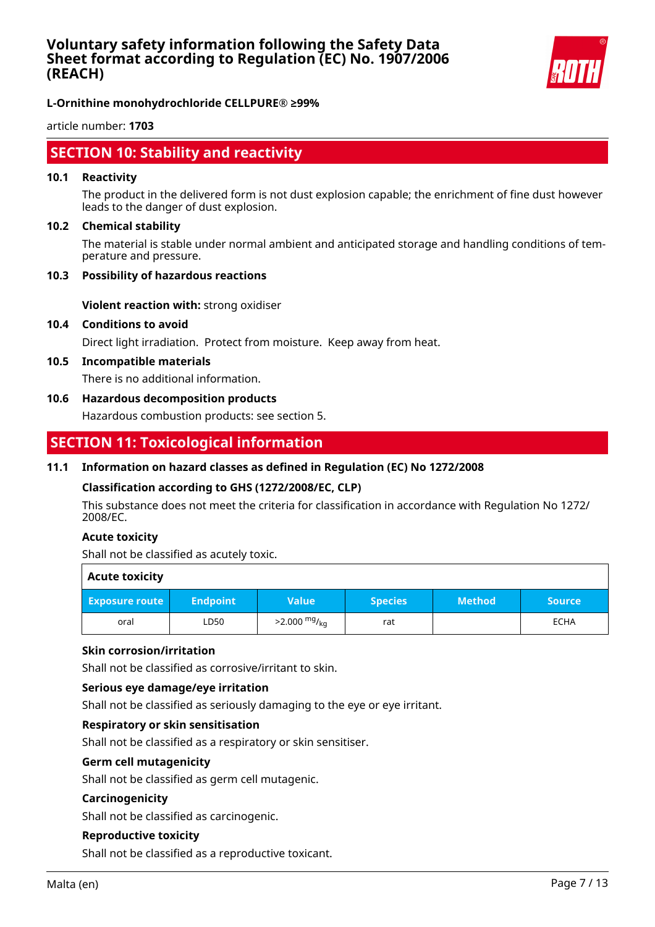

article number: **1703**

## **SECTION 10: Stability and reactivity**

#### **10.1 Reactivity**

The product in the delivered form is not dust explosion capable; the enrichment of fine dust however leads to the danger of dust explosion.

#### **10.2 Chemical stability**

The material is stable under normal ambient and anticipated storage and handling conditions of temperature and pressure.

#### **10.3 Possibility of hazardous reactions**

**Violent reaction with:** strong oxidiser

#### **10.4 Conditions to avoid**

Direct light irradiation. Protect from moisture. Keep away from heat.

#### **10.5 Incompatible materials**

There is no additional information.

#### **10.6 Hazardous decomposition products**

Hazardous combustion products: see section 5.

## **SECTION 11: Toxicological information**

### **11.1 Information on hazard classes as defined in Regulation (EC) No 1272/2008**

#### **Classification according to GHS (1272/2008/EC, CLP)**

This substance does not meet the criteria for classification in accordance with Regulation No 1272/ 2008/EC.

#### **Acute toxicity**

Shall not be classified as acutely toxic.

| <b>Acute toxicity</b> |                 |                        |                |               |               |
|-----------------------|-----------------|------------------------|----------------|---------------|---------------|
| <b>Exposure route</b> | <b>Endpoint</b> | <b>Value</b>           | <b>Species</b> | <b>Method</b> | <b>Source</b> |
| oral                  | LD50            | $>2.000 \frac{mg}{kg}$ | rat            |               | <b>ECHA</b>   |

### **Skin corrosion/irritation**

Shall not be classified as corrosive/irritant to skin.

#### **Serious eye damage/eye irritation**

Shall not be classified as seriously damaging to the eye or eye irritant.

#### **Respiratory or skin sensitisation**

Shall not be classified as a respiratory or skin sensitiser.

#### **Germ cell mutagenicity**

Shall not be classified as germ cell mutagenic.

#### **Carcinogenicity**

Shall not be classified as carcinogenic.

#### **Reproductive toxicity**

Shall not be classified as a reproductive toxicant.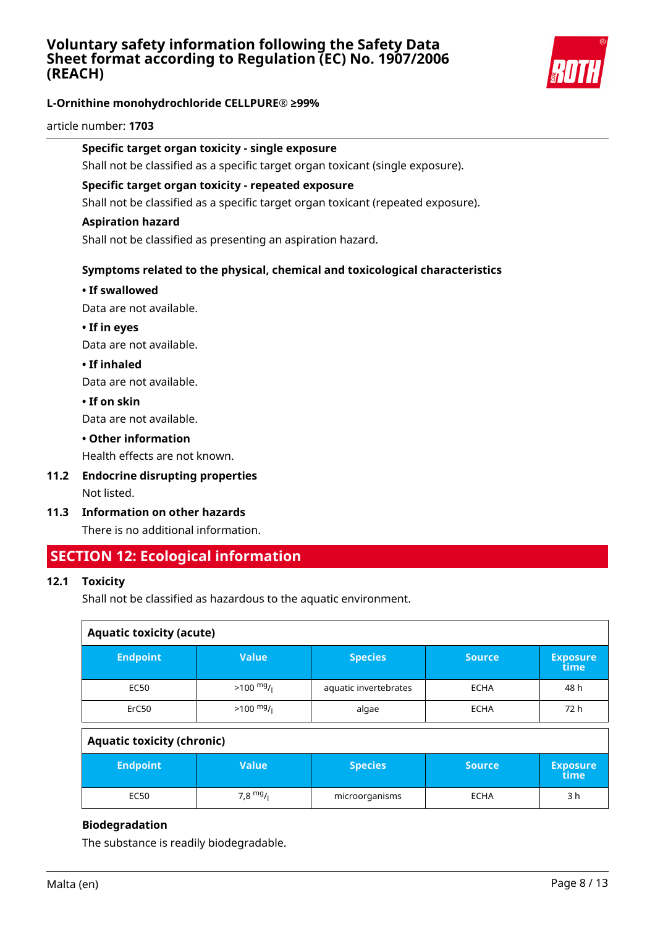

## **L-Ornithine monohydrochloride CELLPURE® ≥99%**

#### article number: **1703**

#### **Specific target organ toxicity - single exposure**

Shall not be classified as a specific target organ toxicant (single exposure).

#### **Specific target organ toxicity - repeated exposure**

Shall not be classified as a specific target organ toxicant (repeated exposure).

#### **Aspiration hazard**

Shall not be classified as presenting an aspiration hazard.

### **Symptoms related to the physical, chemical and toxicological characteristics**

#### **• If swallowed**

Data are not available.

**• If in eyes**

Data are not available.

**• If inhaled**

Data are not available.

**• If on skin**

Data are not available.

#### **• Other information**

Health effects are not known.

- **11.2 Endocrine disrupting properties** Not listed.
- **11.3 Information on other hazards**

There is no additional information.

## **SECTION 12: Ecological information**

#### **12.1 Toxicity**

Shall not be classified as hazardous to the aquatic environment.

| <b>Aquatic toxicity (acute)</b> |                       |               |                         |
|---------------------------------|-----------------------|---------------|-------------------------|
| <b>Value</b>                    | <b>Species</b>        | <b>Source</b> | <b>Exposure</b><br>time |
| $>100 \frac{mg}{l}$             | aquatic invertebrates | <b>ECHA</b>   | 48 h                    |
| $>100$ mg/                      | algae                 | <b>ECHA</b>   | 72 h                    |
|                                 |                       |               |                         |

### **Aquatic toxicity (chronic)**

| <b>Endpoint</b> | Value'     | <b>Species</b> | <b>Source</b> | <b>Exposure</b><br>time |
|-----------------|------------|----------------|---------------|-------------------------|
| EC50            | 7,8 $mg/1$ | microorganisms | <b>ECHA</b>   | 3 h                     |

#### **Biodegradation**

The substance is readily biodegradable.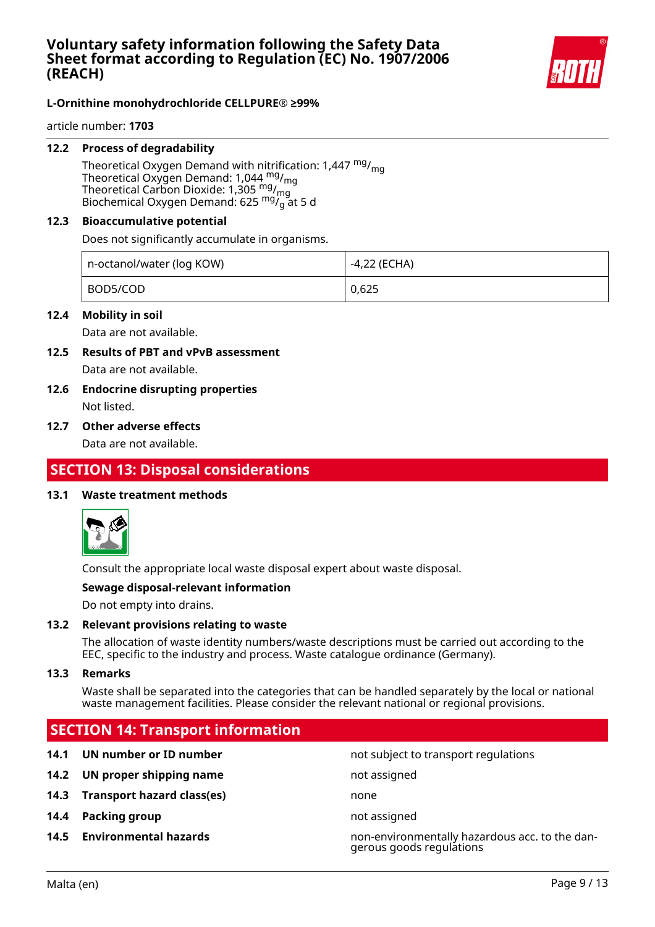

article number: **1703**

#### **12.2 Process of degradability**

Theoretical Oxygen Demand with nitrification: 1,447  $mg/m<sub>0</sub>$ Theoretical Oxygen Demand: 1,044 <sup>mg</sup>/<sub>mg</sub> Theoretical Carbon Dioxide: 1,305  $mg/mg$ Biochemical Oxygen Demand: 625  $mg_{g}^{mg}$ at 5 d

#### **12.3 Bioaccumulative potential**

Does not significantly accumulate in organisms.

| n-octanol/water (log KOW) | -4,22 (ECHA) |
|---------------------------|--------------|
| BOD5/COD                  | 0,625        |

#### **12.4 Mobility in soil**

Data are not available.

- **12.5 Results of PBT and vPvB assessment** Data are not available.
- **12.6 Endocrine disrupting properties** Not listed.

#### **12.7 Other adverse effects**

Data are not available.

## **SECTION 13: Disposal considerations**

#### **13.1 Waste treatment methods**



Consult the appropriate local waste disposal expert about waste disposal.

#### **Sewage disposal-relevant information**

Do not empty into drains.

#### **13.2 Relevant provisions relating to waste**

The allocation of waste identity numbers/waste descriptions must be carried out according to the EEC, specific to the industry and process. Waste catalogue ordinance (Germany).

#### **13.3 Remarks**

Waste shall be separated into the categories that can be handled separately by the local or national waste management facilities. Please consider the relevant national or regional provisions.

## **SECTION 14: Transport information**

- **14.1 UN number or ID number 14.1 UN number** not subject to transport regulations
- **14.2 UN proper shipping name** not assigned
- **14.3 Transport hazard class(es)** none
- **14.4 Packing group not assigned**
- 

**14.5 Environmental hazards** non-environmentally hazardous acc. to the dangerous goods regulations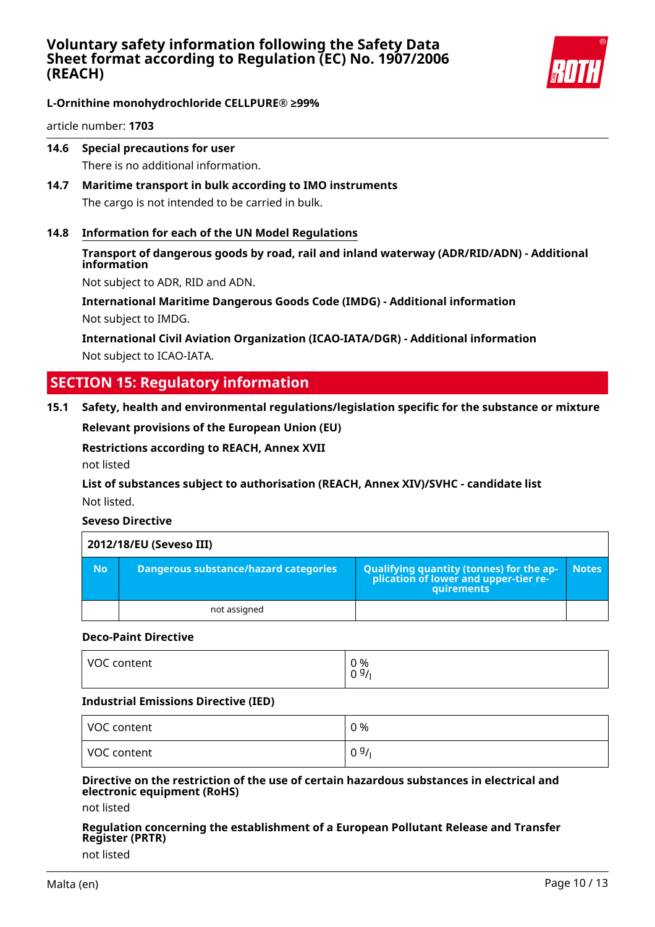

article number: **1703**

**14.6 Special precautions for user**

There is no additional information.

- **14.7 Maritime transport in bulk according to IMO instruments** The cargo is not intended to be carried in bulk.
- **14.8 Information for each of the UN Model Regulations**
	- **Transport of dangerous goods by road, rail and inland waterway (ADR/RID/ADN) Additional information**

Not subject to ADR, RID and ADN.

**International Maritime Dangerous Goods Code (IMDG) - Additional information** Not subject to IMDG.

**International Civil Aviation Organization (ICAO-IATA/DGR) - Additional information** Not subject to ICAO-IATA.

## **SECTION 15: Regulatory information**

**15.1 Safety, health and environmental regulations/legislation specific for the substance or mixture**

**Relevant provisions of the European Union (EU)**

**Restrictions according to REACH, Annex XVII**

not listed

**List of substances subject to authorisation (REACH, Annex XIV)/SVHC - candidate list** Not listed.

**Seveso Directive**

|           | 2012/18/EU (Seveso III)               |                                                                                                 |              |
|-----------|---------------------------------------|-------------------------------------------------------------------------------------------------|--------------|
| <b>No</b> | Dangerous substance/hazard categories | Qualifying quantity (tonnes) for the ap-<br>plication of lower and upper-tier re-<br>quirements | <b>Notes</b> |
|           | not assigned                          |                                                                                                 |              |

#### **Deco-Paint Directive**

| VOC content | 0 %<br>0 <sup>9</sup><br>U |
|-------------|----------------------------|
|             |                            |

#### **Industrial Emissions Directive (IED)**

| VOC content | 0 %  |
|-------------|------|
| VOC content | 09/1 |

#### **Directive on the restriction of the use of certain hazardous substances in electrical and electronic equipment (RoHS)**

not listed

## **Regulation concerning the establishment of a European Pollutant Release and Transfer Register (PRTR)**

not listed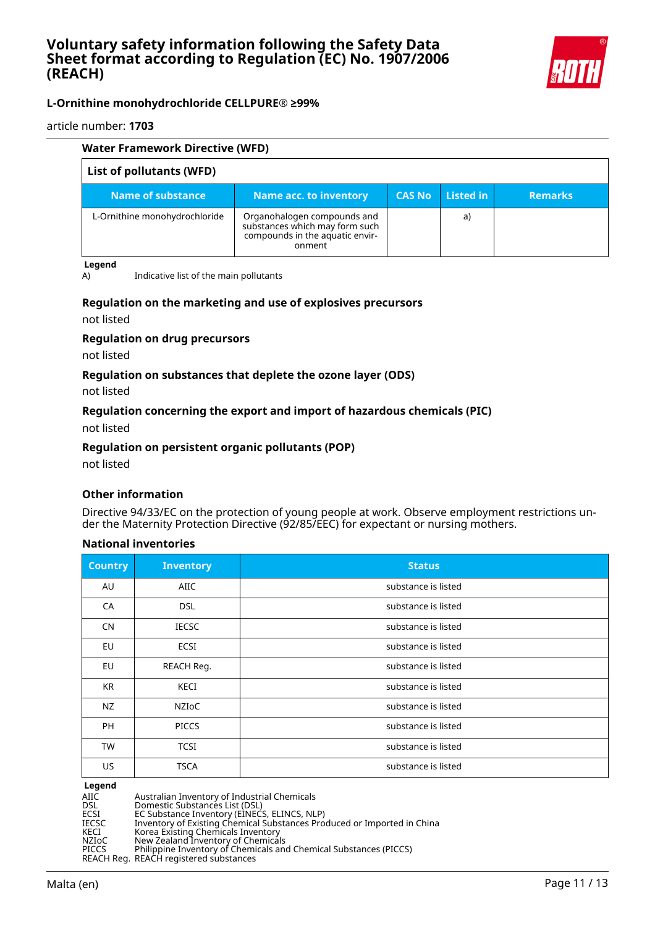

article number: **1703**

| Water Framework Directive (WFD) |                                                                                                            |               |           |                |
|---------------------------------|------------------------------------------------------------------------------------------------------------|---------------|-----------|----------------|
| List of pollutants (WFD)        |                                                                                                            |               |           |                |
| Name of substance               | Name acc. to inventory                                                                                     | <b>CAS No</b> | Listed in | <b>Remarks</b> |
| L-Ornithine monohydrochloride   | Organohalogen compounds and<br>substances which may form such<br>compounds in the aquatic envir-<br>onment |               | a)        |                |

#### **Legend**

A) Indicative list of the main pollutants

#### **Regulation on the marketing and use of explosives precursors**

not listed

#### **Regulation on drug precursors**

not listed

#### **Regulation on substances that deplete the ozone layer (ODS)**

not listed

#### **Regulation concerning the export and import of hazardous chemicals (PIC)**

not listed

#### **Regulation on persistent organic pollutants (POP)**

not listed

#### **Other information**

Directive 94/33/EC on the protection of young people at work. Observe employment restrictions under the Maternity Protection Directive (92/85/EEC) for expectant or nursing mothers.

#### **National inventories**

| <b>Country</b> | <b>Inventory</b> | <b>Status</b>       |
|----------------|------------------|---------------------|
| AU             | <b>AIIC</b>      | substance is listed |
| CA             | <b>DSL</b>       | substance is listed |
| <b>CN</b>      | <b>IECSC</b>     | substance is listed |
| EU             | <b>ECSI</b>      | substance is listed |
| EU             | REACH Reg.       | substance is listed |
| <b>KR</b>      | <b>KECI</b>      | substance is listed |
| NZ             | NZIOC            | substance is listed |
| <b>PH</b>      | <b>PICCS</b>     | substance is listed |
| <b>TW</b>      | <b>TCSI</b>      | substance is listed |
| US             | <b>TSCA</b>      | substance is listed |

#### **Legend**

AIIC Australian Inventory of Industrial Chemicals<br>
DSL Domestic Substances List (DSL)<br>
ECSI EC Substance Inventory (EINECS, ELINCS, NL DSL Domestic Substances List (DSL)

ECSI EC Substance Inventory (EINECS, ELINCS, NLP)

IECSC Inventory of Existing Chemical Substances Produced or Imported in China

KECI Korea Existing Chemicals Inventory

NZIoC New Zealand Inventory of Chemicals PICCS Philippine Inventory of Chemicals and Chemical Substances (PICCS)

REACH Reg. REACH registered substances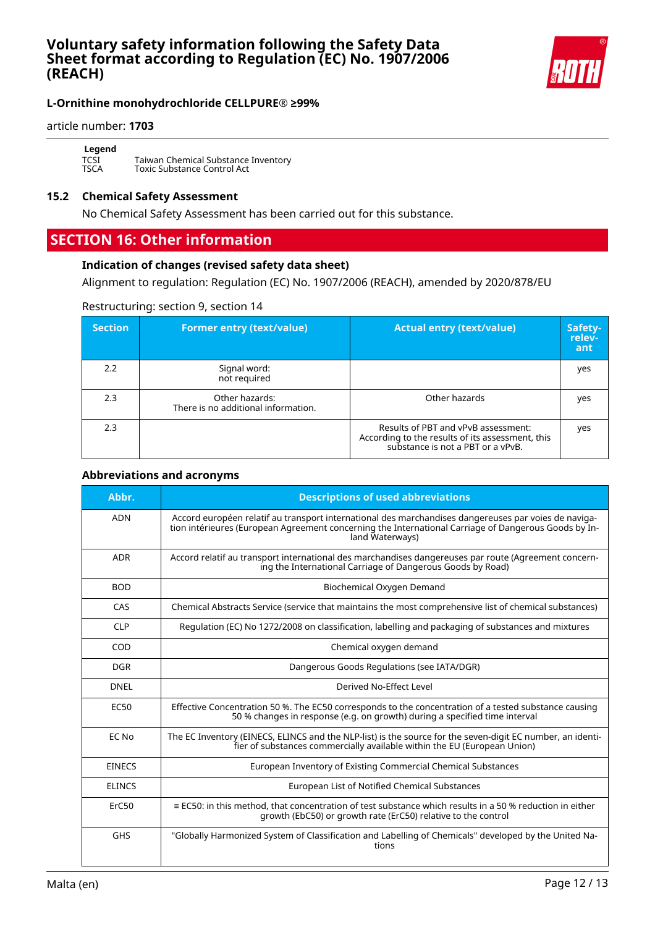

#### article number: **1703**

**Legend** TCSI Taiwan Chemical Substance Inventory TSCA Toxic Substance Control Act

#### **15.2 Chemical Safety Assessment**

No Chemical Safety Assessment has been carried out for this substance.

## **SECTION 16: Other information**

#### **Indication of changes (revised safety data sheet)**

Alignment to regulation: Regulation (EC) No. 1907/2006 (REACH), amended by 2020/878/EU

#### Restructuring: section 9, section 14

| <b>Section</b> | <b>Former entry (text/value)</b>                      | <b>Actual entry (text/value)</b>                                                                                             | Safety-<br>relev-<br>ant |
|----------------|-------------------------------------------------------|------------------------------------------------------------------------------------------------------------------------------|--------------------------|
| 2.2            | Signal word:<br>not required                          |                                                                                                                              | yes                      |
| 2.3            | Other hazards:<br>There is no additional information. | Other hazards                                                                                                                | yes                      |
| 2.3            |                                                       | Results of PBT and vPvB assessment:<br>According to the results of its assessment, this<br>substance is not a PBT or a vPvB. | yes                      |

#### **Abbreviations and acronyms**

| Abbr.         | <b>Descriptions of used abbreviations</b>                                                                                                                                                                                       |  |
|---------------|---------------------------------------------------------------------------------------------------------------------------------------------------------------------------------------------------------------------------------|--|
| <b>ADN</b>    | Accord européen relatif au transport international des marchandises dangereuses par voies de naviga-<br>tion intérieures (European Agreement concerning the International Carriage of Dangerous Goods by In-<br>land Waterways) |  |
| <b>ADR</b>    | Accord relatif au transport international des marchandises dangereuses par route (Agreement concern-<br>ing the International Carriage of Dangerous Goods by Road)                                                              |  |
| <b>BOD</b>    | Biochemical Oxygen Demand                                                                                                                                                                                                       |  |
| CAS           | Chemical Abstracts Service (service that maintains the most comprehensive list of chemical substances)                                                                                                                          |  |
| <b>CLP</b>    | Regulation (EC) No 1272/2008 on classification, labelling and packaging of substances and mixtures                                                                                                                              |  |
| COD           | Chemical oxygen demand                                                                                                                                                                                                          |  |
| <b>DGR</b>    | Dangerous Goods Regulations (see IATA/DGR)                                                                                                                                                                                      |  |
| <b>DNEL</b>   | Derived No-Effect Level                                                                                                                                                                                                         |  |
| <b>EC50</b>   | Effective Concentration 50 %. The EC50 corresponds to the concentration of a tested substance causing<br>50 % changes in response (e.g. on growth) during a specified time interval                                             |  |
| EC No         | The EC Inventory (EINECS, ELINCS and the NLP-list) is the source for the seven-digit EC number, an identi-<br>fier of substances commercially available within the EU (European Union)                                          |  |
| <b>EINECS</b> | European Inventory of Existing Commercial Chemical Substances                                                                                                                                                                   |  |
| <b>ELINCS</b> | European List of Notified Chemical Substances                                                                                                                                                                                   |  |
| ErC50         | $\equiv$ EC50: in this method, that concentration of test substance which results in a 50 % reduction in either<br>growth (EbC50) or growth rate (ErC50) relative to the control                                                |  |
| <b>GHS</b>    | "Globally Harmonized System of Classification and Labelling of Chemicals" developed by the United Na-<br>tions                                                                                                                  |  |